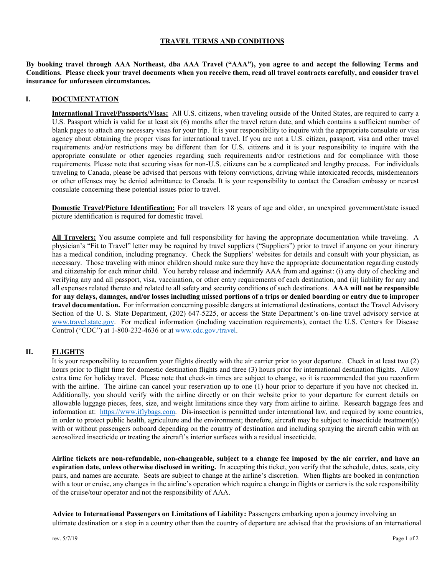## **TRAVEL TERMS AND CONDITIONS**

**By booking travel through AAA Northeast, dba AAA Travel ("AAA"), you agree to and accept the following Terms and Conditions. Please check your travel documents when you receive them, read all travel contracts carefully, and consider travel insurance for unforeseen circumstances.** 

#### **I. DOCUMENTATION**

**International Travel/Passports/Visas:** All U.S. citizens, when traveling outside of the United States, are required to carry a U.S. Passport which is valid for at least six (6) months after the travel return date, and which contains a sufficient number of blank pages to attach any necessary visas for your trip. It is your responsibility to inquire with the appropriate consulate or visa agency about obtaining the proper visas for international travel. If you are not a U.S. citizen, passport, visa and other travel requirements and/or restrictions may be different than for U.S. citizens and it is your responsibility to inquire with the appropriate consulate or other agencies regarding such requirements and/or restrictions and for compliance with those requirements. Please note that securing visas for non-U.S. citizens can be a complicated and lengthy process. For individuals traveling to Canada, please be advised that persons with felony convictions, driving while intoxicated records, misdemeanors or other offenses may be denied admittance to Canada. It is your responsibility to contact the Canadian embassy or nearest consulate concerning these potential issues prior to travel.

**Domestic Travel/Picture Identification:** For all travelers 18 years of age and older, an unexpired government/state issued picture identification is required for domestic travel.

**All Travelers:** You assume complete and full responsibility for having the appropriate documentation while traveling. A physician's "Fit to Travel" letter may be required by travel suppliers ("Suppliers") prior to travel if anyone on your itinerary has a medical condition, including pregnancy. Check the Suppliers' websites for details and consult with your physician, as necessary. Those traveling with minor children should make sure they have the appropriate documentation regarding custody and citizenship for each minor child. You hereby release and indemnify AAA from and against: (i) any duty of checking and verifying any and all passport, visa, vaccination, or other entry requirements of each destination, and (ii) liability for any and all expenses related thereto and related to all safety and security conditions of such destinations. **AAA will not be responsible for any delays, damages, and/or losses including missed portions of a trips or denied boarding or entry due to improper travel documentation.** For information concerning possible dangers at international destinations, contact the Travel Advisory Section of the U. S. State Department, (202) 647-5225, or access the State Department's on-line travel advisory service at [www.travel.state.gov.](http://www.travel.state.gov/) For medical information (including vaccination requirements), contact the U.S. Centers for Disease Control ("CDC") at 1-800-232-4636 or at [www.cdc.gov./travel.](http://www.cdc.gov./travel)

## **II. FLIGHTS**

It is your responsibility to reconfirm your flights directly with the air carrier prior to your departure. Check in at least two (2) hours prior to flight time for domestic destination flights and three (3) hours prior for international destination flights. Allow extra time for holiday travel. Please note that check-in times are subject to change, so it is recommended that you reconfirm with the airline. The airline can cancel your reservation up to one (1) hour prior to departure if you have not checked in. Additionally, you should verify with the airline directly or on their website prior to your departure for current details on allowable luggage pieces, fees, size, and weight limitations since they vary from airline to airline. Research baggage fees and information at: [https://www.iflybags.com.](https://www.iflybags.com/) Dis-insection is permitted under international law, and required by some countries, in order to protect public health, agriculture and the environment; therefore, aircraft may be subject to insecticide treatment(s) with or without passengers onboard depending on the country of destination and including spraying the aircraft cabin with an aerosolized insecticide or treating the aircraft's interior surfaces with a residual insecticide.

Airline tickets are non-refundable, non-changeable, subject to a change fee imposed by the air carrier, and have an **expiration date, unless otherwise disclosed in writing.** In accepting this ticket, you verify that the schedule, dates, seats, city pairs, and names are accurate*.* Seats are subject to change at the airline's discretion. When flights are booked in conjunction with a tour or cruise, any changes in the airline's operation which require a change in flights or carriers is the sole responsibility of the cruise/tour operator and not the responsibility of AAA.

**Advice to International Passengers on Limitations of Liability:** Passengers embarking upon a journey involving an ultimate destination or a stop in a country other than the country of departure are advised that the provisions of an international